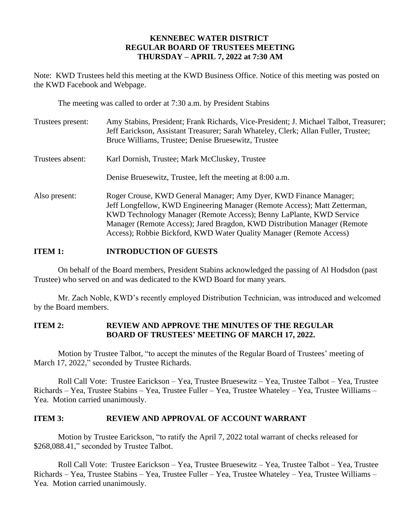## **KENNEBEC WATER DISTRICT REGULAR BOARD OF TRUSTEES MEETING THURSDAY – APRIL 7, 2022 at 7:30 AM**

Note: KWD Trustees held this meeting at the KWD Business Office. Notice of this meeting was posted on the KWD Facebook and Webpage.

The meeting was called to order at 7:30 a.m. by President Stabins

| Trustees present: | Amy Stabins, President; Frank Richards, Vice-President; J. Michael Talbot, Treasurer;<br>Jeff Earickson, Assistant Treasurer; Sarah Whateley, Clerk; Allan Fuller, Trustee;<br>Bruce Williams, Trustee; Denise Bruesewitz, Trustee                                                                                                                                       |
|-------------------|--------------------------------------------------------------------------------------------------------------------------------------------------------------------------------------------------------------------------------------------------------------------------------------------------------------------------------------------------------------------------|
| Trustees absent:  | Karl Dornish, Trustee; Mark McCluskey, Trustee                                                                                                                                                                                                                                                                                                                           |
|                   | Denise Bruesewitz, Trustee, left the meeting at 8:00 a.m.                                                                                                                                                                                                                                                                                                                |
| Also present:     | Roger Crouse, KWD General Manager; Amy Dyer, KWD Finance Manager;<br>Jeff Longfellow, KWD Engineering Manager (Remote Access); Matt Zetterman,<br>KWD Technology Manager (Remote Access); Benny LaPlante, KWD Service<br>Manager (Remote Access); Jared Bragdon, KWD Distribution Manager (Remote<br>Access); Robbie Bickford, KWD Water Quality Manager (Remote Access) |

### **ITEM 1: INTRODUCTION OF GUESTS**

On behalf of the Board members, President Stabins acknowledged the passing of Al Hodsdon (past Trustee) who served on and was dedicated to the KWD Board for many years.

Mr. Zach Noble, KWD's recently employed Distribution Technician, was introduced and welcomed by the Board members.

### **ITEM 2: REVIEW AND APPROVE THE MINUTES OF THE REGULAR BOARD OF TRUSTEES' MEETING OF MARCH 17, 2022.**

Motion by Trustee Talbot, "to accept the minutes of the Regular Board of Trustees' meeting of March 17, 2022," seconded by Trustee Richards.

Roll Call Vote: Trustee Earickson – Yea, Trustee Bruesewitz – Yea, Trustee Talbot – Yea, Trustee Richards – Yea, Trustee Stabins – Yea, Trustee Fuller – Yea, Trustee Whateley – Yea, Trustee Williams – Yea. Motion carried unanimously.

### **ITEM 3: REVIEW AND APPROVAL OF ACCOUNT WARRANT**

Motion by Trustee Earickson, "to ratify the April 7, 2022 total warrant of checks released for \$268,088.41," seconded by Trustee Talbot.

Roll Call Vote: Trustee Earickson – Yea, Trustee Bruesewitz – Yea, Trustee Talbot – Yea, Trustee Richards – Yea, Trustee Stabins – Yea, Trustee Fuller – Yea, Trustee Whateley – Yea, Trustee Williams – Yea. Motion carried unanimously.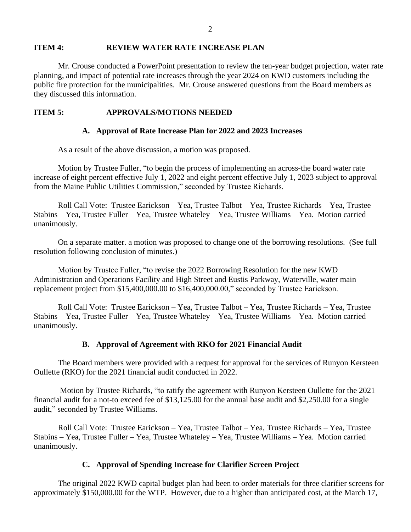#### **ITEM 4: REVIEW WATER RATE INCREASE PLAN**

Mr. Crouse conducted a PowerPoint presentation to review the ten-year budget projection, water rate planning, and impact of potential rate increases through the year 2024 on KWD customers including the public fire protection for the municipalities. Mr. Crouse answered questions from the Board members as they discussed this information.

### **ITEM 5: APPROVALS/MOTIONS NEEDED**

#### **A. Approval of Rate Increase Plan for 2022 and 2023 Increases**

As a result of the above discussion, a motion was proposed.

Motion by Trustee Fuller, "to begin the process of implementing an across-the board water rate increase of eight percent effective July 1, 2022 and eight percent effective July 1, 2023 subject to approval from the Maine Public Utilities Commission," seconded by Trustee Richards.

Roll Call Vote: Trustee Earickson – Yea, Trustee Talbot – Yea, Trustee Richards – Yea, Trustee Stabins – Yea, Trustee Fuller – Yea, Trustee Whateley – Yea, Trustee Williams – Yea. Motion carried unanimously.

On a separate matter. a motion was proposed to change one of the borrowing resolutions. (See full resolution following conclusion of minutes.)

Motion by Trustee Fuller, "to revise the 2022 Borrowing Resolution for the new KWD Administration and Operations Facility and High Street and Eustis Parkway, Waterville, water main replacement project from \$15,400,000.00 to \$16,400,000.00," seconded by Trustee Earickson.

Roll Call Vote: Trustee Earickson – Yea, Trustee Talbot – Yea, Trustee Richards – Yea, Trustee Stabins – Yea, Trustee Fuller – Yea, Trustee Whateley – Yea, Trustee Williams – Yea. Motion carried unanimously.

### **B. Approval of Agreement with RKO for 2021 Financial Audit**

The Board members were provided with a request for approval for the services of Runyon Kersteen Oullette (RKO) for the 2021 financial audit conducted in 2022.

Motion by Trustee Richards, "to ratify the agreement with Runyon Kersteen Oullette for the 2021 financial audit for a not-to exceed fee of \$13,125.00 for the annual base audit and \$2,250.00 for a single audit," seconded by Trustee Williams.

Roll Call Vote: Trustee Earickson – Yea, Trustee Talbot – Yea, Trustee Richards – Yea, Trustee Stabins – Yea, Trustee Fuller – Yea, Trustee Whateley – Yea, Trustee Williams – Yea. Motion carried unanimously.

### **C. Approval of Spending Increase for Clarifier Screen Project**

The original 2022 KWD capital budget plan had been to order materials for three clarifier screens for approximately \$150,000.00 for the WTP. However, due to a higher than anticipated cost, at the March 17,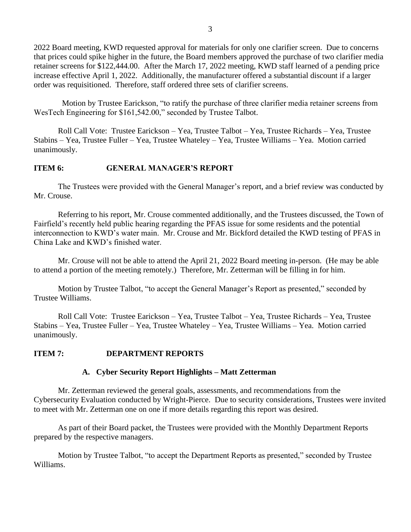2022 Board meeting, KWD requested approval for materials for only one clarifier screen. Due to concerns that prices could spike higher in the future, the Board members approved the purchase of two clarifier media retainer screens for \$122,444.00. After the March 17, 2022 meeting, KWD staff learned of a pending price increase effective April 1, 2022. Additionally, the manufacturer offered a substantial discount if a larger order was requisitioned. Therefore, staff ordered three sets of clarifier screens.

 Motion by Trustee Earickson, "to ratify the purchase of three clarifier media retainer screens from WesTech Engineering for \$161,542.00," seconded by Trustee Talbot.

Roll Call Vote: Trustee Earickson – Yea, Trustee Talbot – Yea, Trustee Richards – Yea, Trustee Stabins – Yea, Trustee Fuller – Yea, Trustee Whateley – Yea, Trustee Williams – Yea. Motion carried unanimously.

# **ITEM 6: GENERAL MANAGER'S REPORT**

The Trustees were provided with the General Manager's report, and a brief review was conducted by Mr. Crouse.

Referring to his report, Mr. Crouse commented additionally, and the Trustees discussed, the Town of Fairfield's recently held public hearing regarding the PFAS issue for some residents and the potential interconnection to KWD's water main. Mr. Crouse and Mr. Bickford detailed the KWD testing of PFAS in China Lake and KWD's finished water.

Mr. Crouse will not be able to attend the April 21, 2022 Board meeting in-person. (He may be able to attend a portion of the meeting remotely.) Therefore, Mr. Zetterman will be filling in for him.

Motion by Trustee Talbot, "to accept the General Manager's Report as presented," seconded by Trustee Williams.

Roll Call Vote: Trustee Earickson – Yea, Trustee Talbot – Yea, Trustee Richards – Yea, Trustee Stabins – Yea, Trustee Fuller – Yea, Trustee Whateley – Yea, Trustee Williams – Yea. Motion carried unanimously.

# **ITEM 7: DEPARTMENT REPORTS**

# **A. Cyber Security Report Highlights – Matt Zetterman**

Mr. Zetterman reviewed the general goals, assessments, and recommendations from the Cybersecurity Evaluation conducted by Wright-Pierce. Due to security considerations, Trustees were invited to meet with Mr. Zetterman one on one if more details regarding this report was desired.

As part of their Board packet, the Trustees were provided with the Monthly Department Reports prepared by the respective managers.

Motion by Trustee Talbot, "to accept the Department Reports as presented," seconded by Trustee Williams.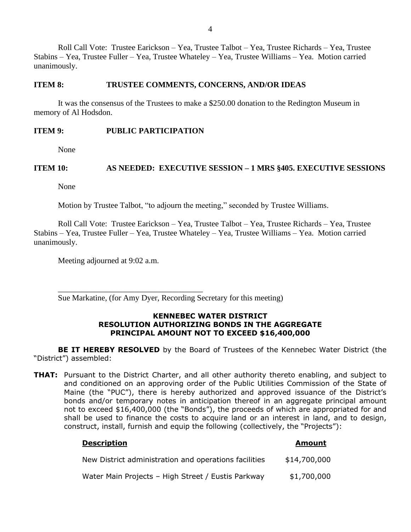Roll Call Vote: Trustee Earickson – Yea, Trustee Talbot – Yea, Trustee Richards – Yea, Trustee Stabins – Yea, Trustee Fuller – Yea, Trustee Whateley – Yea, Trustee Williams – Yea. Motion carried unanimously.

#### **ITEM 8: TRUSTEE COMMENTS, CONCERNS, AND/OR IDEAS**

It was the consensus of the Trustees to make a \$250.00 donation to the Redington Museum in memory of Al Hodsdon.

#### **ITEM 9: PUBLIC PARTICIPATION**

None

### **ITEM 10: AS NEEDED: EXECUTIVE SESSION – 1 MRS §405. EXECUTIVE SESSIONS**

None

Motion by Trustee Talbot, "to adjourn the meeting," seconded by Trustee Williams.

Roll Call Vote: Trustee Earickson – Yea, Trustee Talbot – Yea, Trustee Richards – Yea, Trustee Stabins – Yea, Trustee Fuller – Yea, Trustee Whateley – Yea, Trustee Williams – Yea. Motion carried unanimously.

Meeting adjourned at 9:02 a.m.

\_\_\_\_\_\_\_\_\_\_\_\_\_\_\_\_\_\_\_\_\_\_\_\_\_\_\_\_\_\_\_\_\_\_\_\_

Sue Markatine, (for Amy Dyer, Recording Secretary for this meeting)

#### **KENNEBEC WATER DISTRICT RESOLUTION AUTHORIZING BONDS IN THE AGGREGATE PRINCIPAL AMOUNT NOT TO EXCEED \$16,400,000**

**BE IT HEREBY RESOLVED** by the Board of Trustees of the Kennebec Water District (the "District") assembled:

**THAT:** Pursuant to the District Charter, and all other authority thereto enabling, and subject to and conditioned on an approving order of the Public Utilities Commission of the State of Maine (the "PUC"), there is hereby authorized and approved issuance of the District's bonds and/or temporary notes in anticipation thereof in an aggregate principal amount not to exceed \$16,400,000 (the "Bonds"), the proceeds of which are appropriated for and shall be used to finance the costs to acquire land or an interest in land, and to design, construct, install, furnish and equip the following (collectively, the "Projects"):

| <u> всэсправн</u>                                     | <b>AUVULL</b> |
|-------------------------------------------------------|---------------|
| New District administration and operations facilities | \$14,700,000  |
| Water Main Projects - High Street / Eustis Parkway    | \$1,700,000   |

**Description Amount**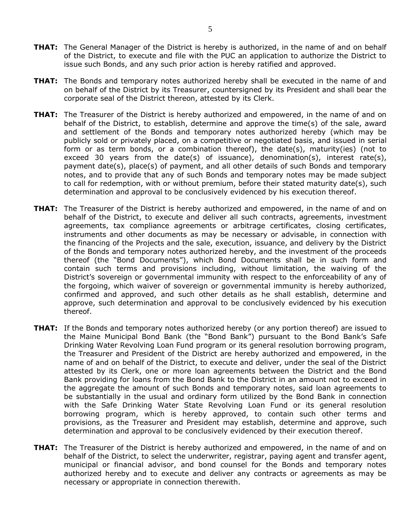- **THAT:** The General Manager of the District is hereby is authorized, in the name of and on behalf of the District, to execute and file with the PUC an application to authorize the District to issue such Bonds, and any such prior action is hereby ratified and approved.
- **THAT:** The Bonds and temporary notes authorized hereby shall be executed in the name of and on behalf of the District by its Treasurer, countersigned by its President and shall bear the corporate seal of the District thereon, attested by its Clerk.
- **THAT:** The Treasurer of the District is hereby authorized and empowered, in the name of and on behalf of the District, to establish, determine and approve the time(s) of the sale, award and settlement of the Bonds and temporary notes authorized hereby (which may be publicly sold or privately placed, on a competitive or negotiated basis, and issued in serial form or as term bonds, or a combination thereof), the date(s), maturity(ies) (not to exceed 30 years from the date(s) of issuance), denomination(s), interest rate(s), payment date(s), place(s) of payment, and all other details of such Bonds and temporary notes, and to provide that any of such Bonds and temporary notes may be made subject to call for redemption, with or without premium, before their stated maturity date(s), such determination and approval to be conclusively evidenced by his execution thereof.
- **THAT:** The Treasurer of the District is hereby authorized and empowered, in the name of and on behalf of the District, to execute and deliver all such contracts, agreements, investment agreements, tax compliance agreements or arbitrage certificates, closing certificates, instruments and other documents as may be necessary or advisable, in connection with the financing of the Projects and the sale, execution, issuance, and delivery by the District of the Bonds and temporary notes authorized hereby, and the investment of the proceeds thereof (the "Bond Documents"), which Bond Documents shall be in such form and contain such terms and provisions including, without limitation, the waiving of the District's sovereign or governmental immunity with respect to the enforceability of any of the forgoing, which waiver of sovereign or governmental immunity is hereby authorized, confirmed and approved, and such other details as he shall establish, determine and approve, such determination and approval to be conclusively evidenced by his execution thereof.
- **THAT:** If the Bonds and temporary notes authorized hereby (or any portion thereof) are issued to the Maine Municipal Bond Bank (the "Bond Bank") pursuant to the Bond Bank's Safe Drinking Water Revolving Loan Fund program or its general resolution borrowing program, the Treasurer and President of the District are hereby authorized and empowered, in the name of and on behalf of the District, to execute and deliver, under the seal of the District attested by its Clerk, one or more loan agreements between the District and the Bond Bank providing for loans from the Bond Bank to the District in an amount not to exceed in the aggregate the amount of such Bonds and temporary notes, said loan agreements to be substantially in the usual and ordinary form utilized by the Bond Bank in connection with the Safe Drinking Water State Revolving Loan Fund or its general resolution borrowing program, which is hereby approved, to contain such other terms and provisions, as the Treasurer and President may establish, determine and approve, such determination and approval to be conclusively evidenced by their execution thereof.
- **THAT:** The Treasurer of the District is hereby authorized and empowered, in the name of and on behalf of the District, to select the underwriter, registrar, paying agent and transfer agent, municipal or financial advisor, and bond counsel for the Bonds and temporary notes authorized hereby and to execute and deliver any contracts or agreements as may be necessary or appropriate in connection therewith.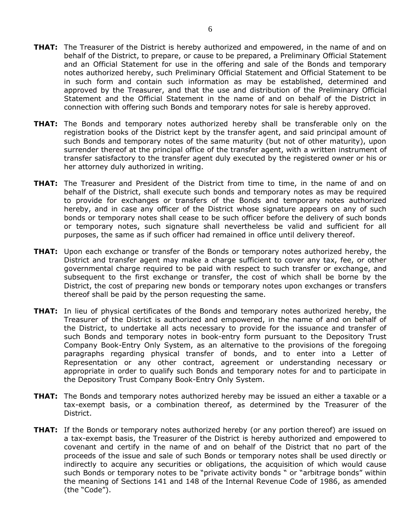- **THAT:** The Treasurer of the District is hereby authorized and empowered, in the name of and on behalf of the District, to prepare, or cause to be prepared, a Preliminary Official Statement and an Official Statement for use in the offering and sale of the Bonds and temporary notes authorized hereby, such Preliminary Official Statement and Official Statement to be in such form and contain such information as may be established, determined and approved by the Treasurer, and that the use and distribution of the Preliminary Official Statement and the Official Statement in the name of and on behalf of the District in connection with offering such Bonds and temporary notes for sale is hereby approved.
- **THAT:** The Bonds and temporary notes authorized hereby shall be transferable only on the registration books of the District kept by the transfer agent, and said principal amount of such Bonds and temporary notes of the same maturity (but not of other maturity), upon surrender thereof at the principal office of the transfer agent, with a written instrument of transfer satisfactory to the transfer agent duly executed by the registered owner or his or her attorney duly authorized in writing.
- **THAT:** The Treasurer and President of the District from time to time, in the name of and on behalf of the District, shall execute such bonds and temporary notes as may be required to provide for exchanges or transfers of the Bonds and temporary notes authorized hereby, and in case any officer of the District whose signature appears on any of such bonds or temporary notes shall cease to be such officer before the delivery of such bonds or temporary notes, such signature shall nevertheless be valid and sufficient for all purposes, the same as if such officer had remained in office until delivery thereof.
- **THAT:** Upon each exchange or transfer of the Bonds or temporary notes authorized hereby, the District and transfer agent may make a charge sufficient to cover any tax, fee, or other governmental charge required to be paid with respect to such transfer or exchange, and subsequent to the first exchange or transfer, the cost of which shall be borne by the District, the cost of preparing new bonds or temporary notes upon exchanges or transfers thereof shall be paid by the person requesting the same.
- **THAT:** In lieu of physical certificates of the Bonds and temporary notes authorized hereby, the Treasurer of the District is authorized and empowered, in the name of and on behalf of the District, to undertake all acts necessary to provide for the issuance and transfer of such Bonds and temporary notes in book-entry form pursuant to the Depository Trust Company Book-Entry Only System, as an alternative to the provisions of the foregoing paragraphs regarding physical transfer of bonds, and to enter into a Letter of Representation or any other contract, agreement or understanding necessary or appropriate in order to qualify such Bonds and temporary notes for and to participate in the Depository Trust Company Book-Entry Only System.
- **THAT:** The Bonds and temporary notes authorized hereby may be issued an either a taxable or a tax-exempt basis, or a combination thereof, as determined by the Treasurer of the District.
- **THAT:** If the Bonds or temporary notes authorized hereby (or any portion thereof) are issued on a tax-exempt basis, the Treasurer of the District is hereby authorized and empowered to covenant and certify in the name of and on behalf of the District that no part of the proceeds of the issue and sale of such Bonds or temporary notes shall be used directly or indirectly to acquire any securities or obligations, the acquisition of which would cause such Bonds or temporary notes to be "private activity bonds " or "arbitrage bonds" within the meaning of Sections 141 and 148 of the Internal Revenue Code of 1986, as amended (the "Code").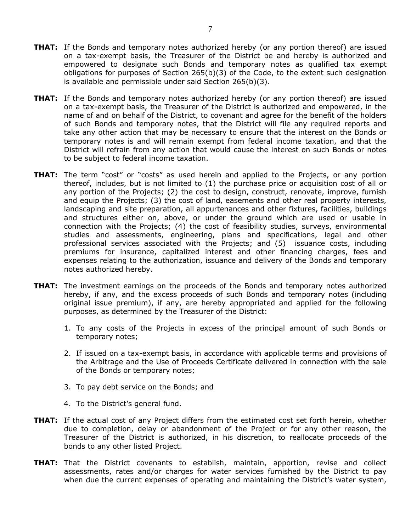- **THAT:** If the Bonds and temporary notes authorized hereby (or any portion thereof) are issued on a tax-exempt basis, the Treasurer of the District be and hereby is authorized and empowered to designate such Bonds and temporary notes as qualified tax exempt obligations for purposes of Section 265(b)(3) of the Code, to the extent such designation is available and permissible under said Section 265(b)(3).
- **THAT:** If the Bonds and temporary notes authorized hereby (or any portion thereof) are issued on a tax-exempt basis, the Treasurer of the District is authorized and empowered, in the name of and on behalf of the District, to covenant and agree for the benefit of the holders of such Bonds and temporary notes, that the District will file any required reports and take any other action that may be necessary to ensure that the interest on the Bonds or temporary notes is and will remain exempt from federal income taxation, and that the District will refrain from any action that would cause the interest on such Bonds or notes to be subject to federal income taxation.
- **THAT:** The term "cost" or "costs" as used herein and applied to the Projects, or any portion thereof, includes, but is not limited to (1) the purchase price or acquisition cost of all or any portion of the Projects; (2) the cost to design, construct, renovate, improve, furnish and equip the Projects; (3) the cost of land, easements and other real property interests, landscaping and site preparation, all appurtenances and other fixtures, facilities, buildings and structures either on, above, or under the ground which are used or usable in connection with the Projects; (4) the cost of feasibility studies, surveys, environmental studies and assessments, engineering, plans and specifications, legal and other professional services associated with the Projects; and (5) issuance costs, including premiums for insurance, capitalized interest and other financing charges, fees and expenses relating to the authorization, issuance and delivery of the Bonds and temporary notes authorized hereby.
- **THAT:** The investment earnings on the proceeds of the Bonds and temporary notes authorized hereby, if any, and the excess proceeds of such Bonds and temporary notes (including original issue premium), if any, are hereby appropriated and applied for the following purposes, as determined by the Treasurer of the District:
	- 1. To any costs of the Projects in excess of the principal amount of such Bonds or temporary notes;
	- 2. If issued on a tax-exempt basis, in accordance with applicable terms and provisions of the Arbitrage and the Use of Proceeds Certificate delivered in connection with the sale of the Bonds or temporary notes;
	- 3. To pay debt service on the Bonds; and
	- 4. To the District's general fund.
- **THAT:** If the actual cost of any Project differs from the estimated cost set forth herein, whether due to completion, delay or abandonment of the Project or for any other reason, the Treasurer of the District is authorized, in his discretion, to reallocate proceeds of the bonds to any other listed Project.
- **THAT:** That the District covenants to establish, maintain, apportion, revise and collect assessments, rates and/or charges for water services furnished by the District to pay when due the current expenses of operating and maintaining the District's water system,